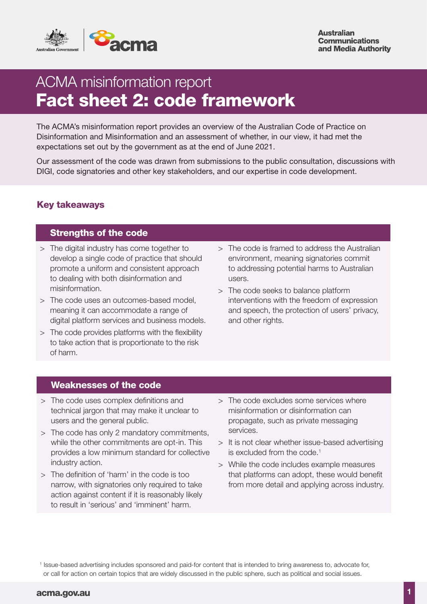

**Australian Communications** and Media Authority

# ACMA misinformation report Fact sheet 2: code framework

The ACMA's misinformation report provides an overview of the Australian Code of Practice on Disinformation and Misinformation and an assessment of whether, in our view, it had met the expectations set out by the government as at the end of June 2021.

Our assessment of the code was drawn from submissions to the public consultation, discussions with DIGI, code signatories and other key stakeholders, and our expertise in code development.

# Key takeaways

# Strengths of the code

- > The digital industry has come together to develop a single code of practice that should promote a uniform and consistent approach to dealing with both disinformation and misinformation.
- > The code uses an outcomes-based model, meaning it can accommodate a range of digital platform services and business models.
- > The code provides platforms with the flexibility to take action that is proportionate to the risk of harm.
- > The code is framed to address the Australian environment, meaning signatories commit to addressing potential harms to Australian users.
- > The code seeks to balance platform interventions with the freedom of expression and speech, the protection of users' privacy, and other rights.

### Weaknesses of the code

- > The code uses complex definitions and technical jargon that may make it unclear to users and the general public.
- > The code has only 2 mandatory commitments, while the other commitments are opt-in. This provides a low minimum standard for collective industry action.
- > The definition of 'harm' in the code is too narrow, with signatories only required to take action against content if it is reasonably likely to result in 'serious' and 'imminent' harm.
- > The code excludes some services where misinformation or disinformation can propagate, such as private messaging services.
- > It is not clear whether issue-based advertising is excluded from the code.<sup>1</sup>
- > While the code includes example measures that platforms can adopt, these would benefit from more detail and applying across industry.

<sup>&</sup>lt;sup>1</sup> Issue-based advertising includes sponsored and paid-for content that is intended to bring awareness to, advocate for, or call for action on certain topics that are widely discussed in the public sphere, such as political and social issues.